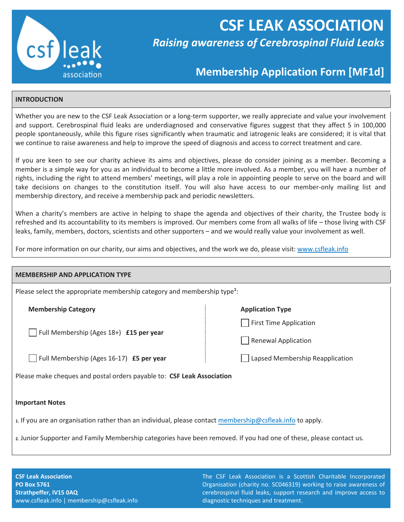

# **CSF LEAK ASSOCIATION** *Raising awareness of Cerebrospinal Fluid Leaks*

## **Membership Application Form [MF1d]**

### **INTRODUCTION**

Whether you are new to the CSF Leak Association or a long-term supporter, we really appreciate and value your involvement and support. Cerebrospinal fluid leaks are underdiagnosed and conservative figures suggest that they affect 5 in 100,000 people spontaneously, while this figure rises significantly when traumatic and iatrogenic leaks are considered; it is vital that we continue to raise awareness and help to improve the speed of diagnosis and access to correct treatment and care.

If you are keen to see our charity achieve its aims and objectives, please do consider joining as a member. Becoming a member is a simple way for you as an individual to become a little more involved. As a member, you will have a number of rights, including the right to attend members' meetings, will play a role in appointing people to serve on the board and will take decisions on changes to the constitution itself. You will also have access to our member-only mailing list and membership directory, and receive a membership pack and periodic newsletters.

When a charity's members are active in helping to shape the agenda and objectives of their charity, the Trustee body is refreshed and its accountability to its members is improved. Our members come from all walks of life – those living with CSF leaks, family, members, doctors, scientists and other supporters – and we would really value your involvement as well.

For more information on our charity, our aims and objectives, and the work we do, please visit[: www.csfleak.info](http://www.csfleak.info/)

#### **MEMBERSHIP AND APPLICATION TYPE**

Please select the appropriate membership category and membership type**<sup>1</sup>** :

**Membership Category Application Type Application Type Application Type** 

Full Membership (Ages 18+) **£15 per year** 

Full Membership (Ages 16-17) **£5 per year**

Please make cheques and postal orders payable to: **CSF Leak Association**

#### **Important Notes**

**1.** If you are an organisation rather than an individual, please contact [membership@csfleak.info](mailto:membership@csfleak.info) to apply.

**2.** Junior Supporter and Family Membership categories have been removed. If you had one of these, please contact us.

**CSF Leak Association PO Box 5761 Strathpeffer, IV15 0AQ** www.csfleak.info | membership@csfleak.info

The CSF Leak Association is a Scottish Charitable Incorporated Organisation (charity no. SC046319) working to raise awareness of cerebrospinal fluid leaks, support research and improve access to diagnostic techniques and treatment.

First Time Application

Renewal Application

Lapsed Membership Reapplication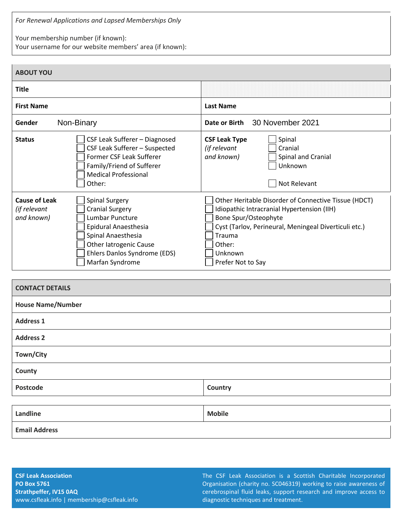*For Renewal Applications and Lapsed Memberships Only*

Your membership number (if known):

Your username for our website members' area (if known):

| <b>ABOUT YOU</b>                                                                                                                                                                                                                                    |                                                                                                                                                                                                                                         |
|-----------------------------------------------------------------------------------------------------------------------------------------------------------------------------------------------------------------------------------------------------|-----------------------------------------------------------------------------------------------------------------------------------------------------------------------------------------------------------------------------------------|
| <b>Title</b>                                                                                                                                                                                                                                        |                                                                                                                                                                                                                                         |
| <b>First Name</b>                                                                                                                                                                                                                                   | <b>Last Name</b>                                                                                                                                                                                                                        |
| Gender<br>Non-Binary                                                                                                                                                                                                                                | 30 November 2021<br>Date or Birth                                                                                                                                                                                                       |
| <b>Status</b><br>CSF Leak Sufferer - Diagnosed<br>CSF Leak Sufferer - Suspected<br>Former CSF Leak Sufferer<br>Family/Friend of Sufferer<br><b>Medical Professional</b><br>Other:                                                                   | Spinal<br><b>CSF Leak Type</b><br>Cranial<br>(if relevant<br>and known)<br>Spinal and Cranial<br>Unknown<br>Not Relevant                                                                                                                |
| <b>Cause of Leak</b><br><b>Spinal Surgery</b><br>(if relevant<br><b>Cranial Surgery</b><br>and known)<br>Lumbar Puncture<br>Epidural Anaesthesia<br>Spinal Anaesthesia<br>Other latrogenic Cause<br>Ehlers Danlos Syndrome (EDS)<br>Marfan Syndrome | Other Heritable Disorder of Connective Tissue (HDCT)<br>Idiopathic Intracranial Hypertension (IIH)<br>Bone Spur/Osteophyte<br>Cyst (Tarlov, Perineural, Meningeal Diverticuli etc.)<br>Trauma<br>Other:<br>Unknown<br>Prefer Not to Say |

| <b>CONTACT DETAILS</b>   |               |  |
|--------------------------|---------------|--|
| <b>House Name/Number</b> |               |  |
| <b>Address 1</b>         |               |  |
| <b>Address 2</b>         |               |  |
| Town/City                |               |  |
| County                   |               |  |
| Postcode                 | Country       |  |
|                          |               |  |
| Landline                 | <b>Mobile</b> |  |
| <b>Email Address</b>     |               |  |

The CSF Leak Association is a Scottish Charitable Incorporated Organisation (charity no. SC046319) working to raise awareness of cerebrospinal fluid leaks, support research and improve access to diagnostic techniques and treatment.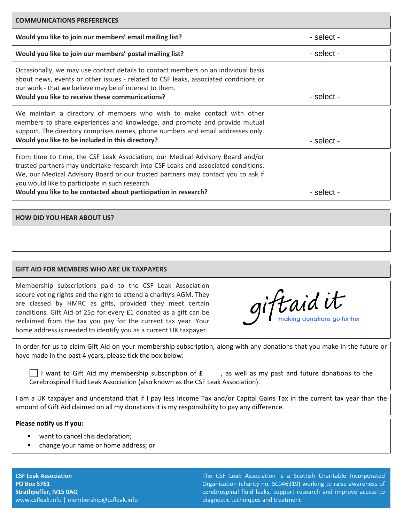| <b>COMMUNICATIONS PREFERENCES</b>                                                                                                                                                                                                                                                                                                                                                           |            |  |
|---------------------------------------------------------------------------------------------------------------------------------------------------------------------------------------------------------------------------------------------------------------------------------------------------------------------------------------------------------------------------------------------|------------|--|
| Would you like to join our members' email mailing list?                                                                                                                                                                                                                                                                                                                                     | - select - |  |
| Would you like to join our members' postal mailing list?                                                                                                                                                                                                                                                                                                                                    | - select - |  |
| Occasionally, we may use contact details to contact members on an individual basis<br>about news, events or other issues - related to CSF leaks, associated conditions or<br>our work - that we believe may be of interest to them.<br>Would you like to receive these communications?                                                                                                      | - select - |  |
| We maintain a directory of members who wish to make contact with other<br>members to share experiences and knowledge, and promote and provide mutual<br>support. The directory comprises names, phone numbers and email addresses only.<br>Would you like to be included in this directory?                                                                                                 | - select - |  |
| From time to time, the CSF Leak Association, our Medical Advisory Board and/or<br>trusted partners may undertake research into CSF Leaks and associated conditions.<br>We, our Medical Advisory Board or our trusted partners may contact you to ask if<br>you would like to participate in such research.<br>Would you like to be contacted about participation in research?<br>- select - |            |  |

### **HOW DID YOU HEAR ABOUT US?**

#### **GIFT AID FOR MEMBERS WHO ARE UK TAXPAYERS**

Membership subscriptions paid to the CSF Leak Association secure voting rights and the right to attend a charity's AGM. They are classed by HMRC as gifts, provided they meet certain conditions. Gift Aid of 25p for every £1 donated as a gift can be reclaimed from the tax you pay for the current tax year. Your home address is needed to identify you as a current UK taxpayer.

iftaid it making donations go further

In order for us to claim Gift Aid on your membership subscription, along with any donations that you make in the future or have made in the past 4 years, please tick the box below:

I want to Gift Aid my membership subscription of **£**, as well as my past and future donations to the Cerebrospinal Fluid Leak Association (also known as the CSF Leak Association).

I am a UK taxpayer and understand that if I pay less Income Tax and/or Capital Gains Tax in the current tax year than the amount of Gift Aid claimed on all my donations it is my responsibility to pay any difference.

#### **Please notify us if you:**

- want to cancel this declaration;
- **E** change your name or home address; or

**CSF Leak Association PO Box 5761 Strathpeffer, IV15 0AQ** www.csfleak.info | membership@csfleak.info The CSF Leak Association is a Scottish Charitable Incorporated Organisation (charity no. SC046319) working to raise awareness of cerebrospinal fluid leaks, support research and improve access to diagnostic techniques and treatment.